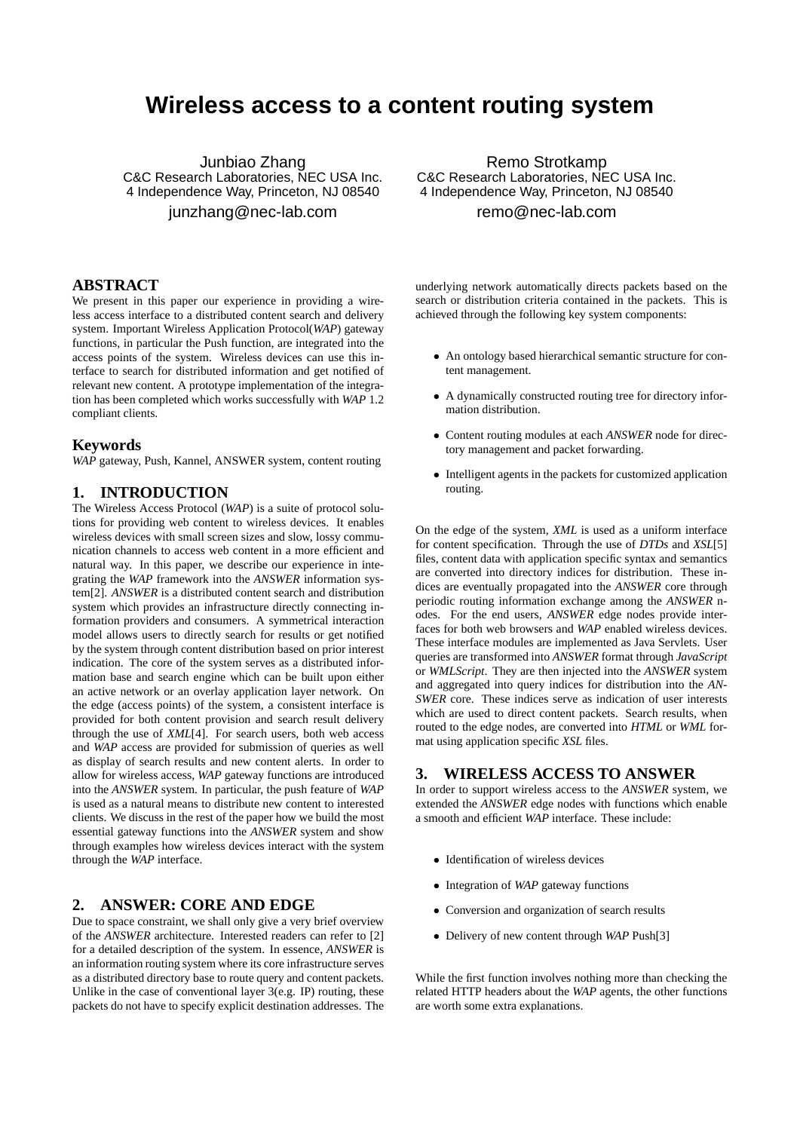# **Wireless access to a content routing system**

Junbiao Zhang C&C Research Laboratories, NEC USA Inc. 4 Independence Way, Princeton, NJ 08540 junzhang@nec-lab.com

# **ABSTRACT**

We present in this paper our experience in providing a wireless access interface to a distributed content search and delivery system. Important Wireless Application Protocol(*WAP*) gateway functions, in particular the Push function, are integrated into the access points of the system. Wireless devices can use this interface to search for distributed information and get notified of relevant new content. A prototype implementation of the integration has been completed which works successfully with *WAP* 1.2 compliant clients.

#### **Keywords**

*WAP* gateway, Push, Kannel, ANSWER system, content routing

# **1. INTRODUCTION**

The Wireless Access Protocol (*WAP*) is a suite of protocol solutions for providing web content to wireless devices. It enables wireless devices with small screen sizes and slow, lossy communication channels to access web content in a more efficient and natural way. In this paper, we describe our experience in integrating the *WAP* framework into the *ANSWER* information system[2]. *ANSWER* is a distributed content search and distribution system which provides an infrastructure directly connecting information providers and consumers. A symmetrical interaction model allows users to directly search for results or get notified by the system through content distribution based on prior interest indication. The core of the system serves as a distributed information base and search engine which can be built upon either an active network or an overlay application layer network. On the edge (access points) of the system, a consistent interface is provided for both content provision and search result delivery through the use of *XML*[4]. For search users, both web access and *WAP* access are provided for submission of queries as well as display of search results and new content alerts. In order to allow for wireless access, *WAP* gateway functions are introduced into the *ANSWER* system. In particular, the push feature of *WAP* is used as a natural means to distribute new content to interested clients. We discuss in the rest of the paper how we build the most essential gateway functions into the *ANSWER* system and show through examples how wireless devices interact with the system through the *WAP* interface.

# **2. ANSWER: CORE AND EDGE**

Due to space constraint, we shall only give a very brief overview of the *ANSWER* architecture. Interested readers can refer to [2] for a detailed description of the system. In essence, *ANSWER* is an information routing system where its core infrastructure serves as a distributed directory base to route query and content packets. Unlike in the case of conventional layer 3(e.g. IP) routing, these packets do not have to specify explicit destination addresses. The

Remo Strotkamp C&C Research Laboratories, NEC USA Inc. 4 Independence Way, Princeton, NJ 08540 remo@nec-lab.com

underlying network automatically directs packets based on the search or distribution criteria contained in the packets. This is achieved through the following key system components:

- An ontology based hierarchical semantic structure for content management.
- A dynamically constructed routing tree for directory information distribution.
- Content routing modules at each *ANSWER* node for directory management and packet forwarding.
- Intelligent agents in the packets for customized application routing.

On the edge of the system, *XML* is used as a uniform interface for content specification. Through the use of *DTDs* and *XSL*[5] files, content data with application specific syntax and semantics are converted into directory indices for distribution. These indices are eventually propagated into the *ANSWER* core through periodic routing information exchange among the *ANSWER* nodes. For the end users, *ANSWER* edge nodes provide interfaces for both web browsers and *WAP* enabled wireless devices. These interface modules are implemented as Java Servlets. User queries are transformed into *ANSWER* format through *JavaScript* or *WMLScript*. They are then injected into the *ANSWER* system and aggregated into query indices for distribution into the *AN-SWER* core. These indices serve as indication of user interests which are used to direct content packets. Search results, when routed to the edge nodes, are converted into *HTML* or *WML* format using application specific *XSL* files.

## **3. WIRELESS ACCESS TO ANSWER**

In order to support wireless access to the *ANSWER* system, we extended the *ANSWER* edge nodes with functions which enable a smooth and efficient *WAP* interface. These include:

- Identification of wireless devices
- Integration of *WAP* gateway functions
- Conversion and organization of search results
- Delivery of new content through *WAP* Push[3]

While the first function involves nothing more than checking the related HTTP headers about the *WAP* agents, the other functions are worth some extra explanations.